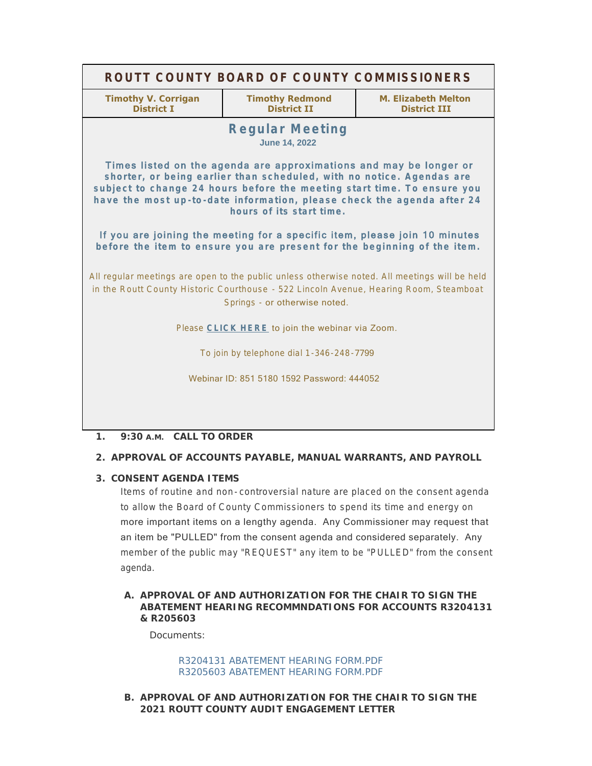| ROUTT COUNTY BOARD OF COUNTY COMMISSIONERS                                                                                                                                                                                                                                                                                                                                                                                                                                             |                                              |                                            |
|----------------------------------------------------------------------------------------------------------------------------------------------------------------------------------------------------------------------------------------------------------------------------------------------------------------------------------------------------------------------------------------------------------------------------------------------------------------------------------------|----------------------------------------------|--------------------------------------------|
| <b>Timothy V. Corrigan</b><br><b>District I</b>                                                                                                                                                                                                                                                                                                                                                                                                                                        | <b>Timothy Redmond</b><br><b>District II</b> | M. Elizabeth Melton<br><b>District III</b> |
| <b>Regular Meeting</b><br><b>June 14, 2022</b>                                                                                                                                                                                                                                                                                                                                                                                                                                         |                                              |                                            |
| Times listed on the agenda are approximations and may be longer or<br>shorter, or being earlier than scheduled, with no notice. Agendas are<br>subject to change 24 hours before the meeting start time. To ensure you<br>have the most up-to-date information, please check the agenda after 24<br>hours of its start time.<br>If you are joining the meeting for a specific item, please join 10 minutes<br>before the item to ensure you are present for the beginning of the item. |                                              |                                            |
| All regular meetings are open to the public unless otherwise noted. All meetings will be held<br>in the Routt County Historic Courthouse - 522 Lincoln Avenue, Hearing Room, Steamboat<br>Springs - or otherwise noted.                                                                                                                                                                                                                                                                |                                              |                                            |
| Please CLICK HERE to join the webinar via Zoom.                                                                                                                                                                                                                                                                                                                                                                                                                                        |                                              |                                            |
| To join by telephone dial 1-346-248-7799                                                                                                                                                                                                                                                                                                                                                                                                                                               |                                              |                                            |
| Webinar ID: 851 5180 1592 Password: 444052                                                                                                                                                                                                                                                                                                                                                                                                                                             |                                              |                                            |
|                                                                                                                                                                                                                                                                                                                                                                                                                                                                                        |                                              |                                            |

# **CALL TO ORDER 1. 9:30 A.M.**

# **APPROVAL OF ACCOUNTS PAYABLE, MANUAL WARRANTS, AND PAYROLL 2.**

# **CONSENT AGENDA ITEMS 3.**

Items of routine and non- controversial nature are placed on the consent agenda to allow the Board of County Commissioners to spend its time and energy on more important items on a lengthy agenda. Any Commissioner may request that an item be "PULLED" from the consent agenda and considered separately. Any member of the public may "REQUEST" any item to be "PULLED" from the consent agenda.

# A. APPROVAL OF AND AUTHORIZATION FOR THE CHAIR TO SIGN THE **ABATEMENT HEARING RECOMMNDATIONS FOR ACCOUNTS R3204131 & R205603**

Documents:

### [R3204131 ABATEMENT HEARING FORM.PDF](http://www.co.routt.co.us/AgendaCenter/ViewFile/Item/18707?fileID=16749) [R3205603 ABATEMENT HEARING FORM.PDF](http://www.co.routt.co.us/AgendaCenter/ViewFile/Item/18707?fileID=16750)

**APPROVAL OF AND AUTHORIZATION FOR THE CHAIR TO SIGN THE B. 2021 ROUTT COUNTY AUDIT ENGAGEMENT LETTER**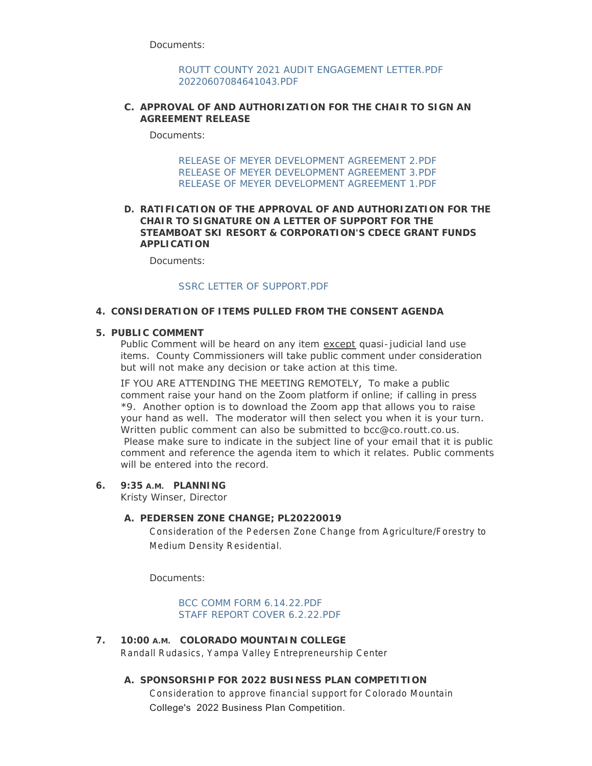Documents:

[ROUTT COUNTY 2021 AUDIT ENGAGEMENT LETTER.PDF](http://www.co.routt.co.us/AgendaCenter/ViewFile/Item/18630?fileID=16722) [20220607084641043.PDF](http://www.co.routt.co.us/AgendaCenter/ViewFile/Item/18630?fileID=16723)

### **APPROVAL OF AND AUTHORIZATION FOR THE CHAIR TO SIGN AN C. AGREEMENT RELEASE**

Documents<sup>:</sup>

[RELEASE OF MEYER DEVELOPMENT AGREEMENT 2.PDF](http://www.co.routt.co.us/AgendaCenter/ViewFile/Item/18689?fileID=16739) [RELEASE OF MEYER DEVELOPMENT AGREEMENT 3.PDF](http://www.co.routt.co.us/AgendaCenter/ViewFile/Item/18689?fileID=16740) [RELEASE OF MEYER DEVELOPMENT AGREEMENT 1.PDF](http://www.co.routt.co.us/AgendaCenter/ViewFile/Item/18689?fileID=16741)

## **RATIFICATION OF THE APPROVAL OF AND AUTHORIZATION FOR THE D. CHAIR TO SIGNATURE ON A LETTER OF SUPPORT FOR THE STEAMBOAT SKI RESORT & CORPORATION'S CDECE GRANT FUNDS APPLICATION**

Documents:

## [SSRC LETTER OF SUPPORT.PDF](http://www.co.routt.co.us/AgendaCenter/ViewFile/Item/18690?fileID=16742)

## **CONSIDERATION OF ITEMS PULLED FROM THE CONSENT AGENDA 4.**

### **PUBLIC COMMENT 5.**

Public Comment will be heard on any item except quasi-judicial land use items. County Commissioners will take public comment under consideration but will not make any decision or take action at this time.

IF YOU ARE ATTENDING THE MEETING REMOTELY, To make a public comment raise your hand on the Zoom platform if online; if calling in press \*9. Another option is to download the Zoom app that allows you to raise your hand as well. The moderator will then select you when it is your turn. Written public comment can also be submitted to bcc@co.routt.co.us. Please make sure to indicate in the subject line of your email that it is public comment and reference the agenda item to which it relates. Public comments will be entered into the record.

#### **PLANNING 6. 9:35 A.M.**

Kristy Winser, Director

#### **PEDERSEN ZONE CHANGE; PL20220019 A.**

Consideration of the Pedersen Zone Change from Agriculture/Forestry to Medium Density Residential.

Documents:

[BCC COMM FORM 6.14.22.PDF](http://www.co.routt.co.us/AgendaCenter/ViewFile/Item/18682?fileID=16720) [STAFF REPORT COVER 6.2.22.PDF](http://www.co.routt.co.us/AgendaCenter/ViewFile/Item/18682?fileID=16721)

**COLORADO MOUNTAIN COLLEGE 7. 10:00 A.M.** Randall Rudasics, Yampa Valley Entrepreneurship Center

# **SPONSORSHIP FOR 2022 BUSINESS PLAN COMPETITION A.** Consideration to approve financial support for Colorado Mountain College's 2022 Business Plan Competition.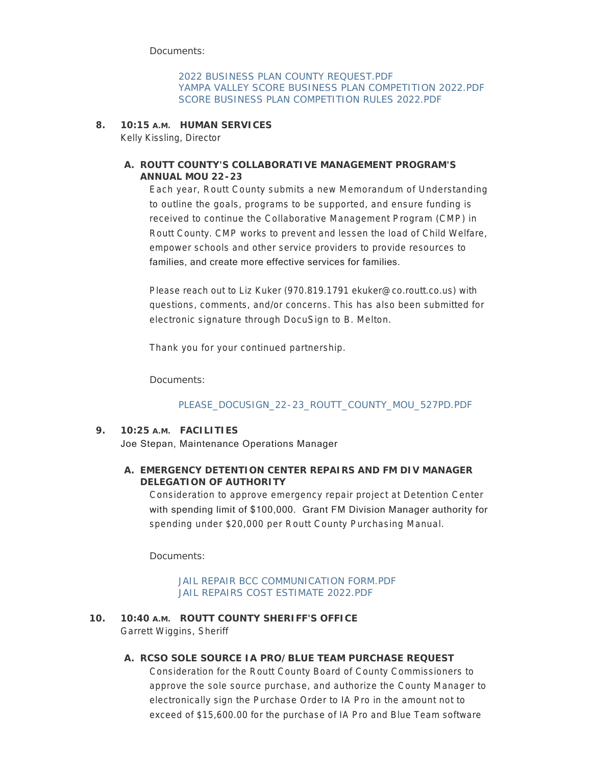Documents:

[2022 BUSINESS PLAN COUNTY REQUEST.PDF](http://www.co.routt.co.us/AgendaCenter/ViewFile/Item/18703?fileID=16743) [YAMPA VALLEY SCORE BUSINESS PLAN COMPETITION 2022.PDF](http://www.co.routt.co.us/AgendaCenter/ViewFile/Item/18703?fileID=16744) [SCORE BUSINESS PLAN COMPETITION RULES 2022.PDF](http://www.co.routt.co.us/AgendaCenter/ViewFile/Item/18703?fileID=16745)

**HUMAN SERVICES 8. 10:15 A.M.**

Kelly Kissling, Director

# **ROUTT COUNTY'S COLLABORATIVE MANAGEMENT PROGRAM'S A. ANNUAL MOU 22-23**

Each year, Routt County submits a new Memorandum of Understanding to outline the goals, programs to be supported, and ensure funding is received to continue the Collaborative Management Program (CMP) in Routt County. CMP works to prevent and lessen the load of Child Welfare, empower schools and other service providers to provide resources to families, and create more effective services for families.

Please reach out to Liz Kuker (970.819.1791 ekuker@co.routt.co.us) with questions, comments, and/or concerns. This has also been submitted for electronic signature through DocuSign to B. Melton.

Thank you for your continued partnership.

Documents:

# [PLEASE\\_DOCUSIGN\\_22-23\\_ROUTT\\_COUNTY\\_MOU\\_527PD.PDF](http://www.co.routt.co.us/AgendaCenter/ViewFile/Item/18706?fileID=16746)

# **FACILITIES 9. 10:25 A.M.** Joe Stepan, Maintenance Operations Manager

# **EMERGENCY DETENTION CENTER REPAIRS AND FM DIV MANAGER A. DELEGATION OF AUTHORITY**

Consideration to approve emergency repair project at Detention Center with spending limit of \$100,000. Grant FM Division Manager authority for spending under \$20,000 per Routt County Purchasing Manual.

Documents:

### [JAIL REPAIR BCC COMMUNICATION FORM.PDF](http://www.co.routt.co.us/AgendaCenter/ViewFile/Item/18681?fileID=16734) [JAIL REPAIRS COST ESTIMATE 2022.PDF](http://www.co.routt.co.us/AgendaCenter/ViewFile/Item/18681?fileID=16718)

10. 10:40 A.M. ROUTT COUNTY SHERIFF'S OFFICE Garrett Wiggins, Sheriff

#### **RCSO SOLE SOURCE IA PRO/BLUE TEAM PURCHASE REQUEST A.**

Consideration for the Routt County Board of County Commissioners to approve the sole source purchase, and authorize the County Manager to electronically sign the Purchase Order to IA Pro in the amount not to exceed of \$15,600.00 for the purchase of IA Pro and Blue Team software